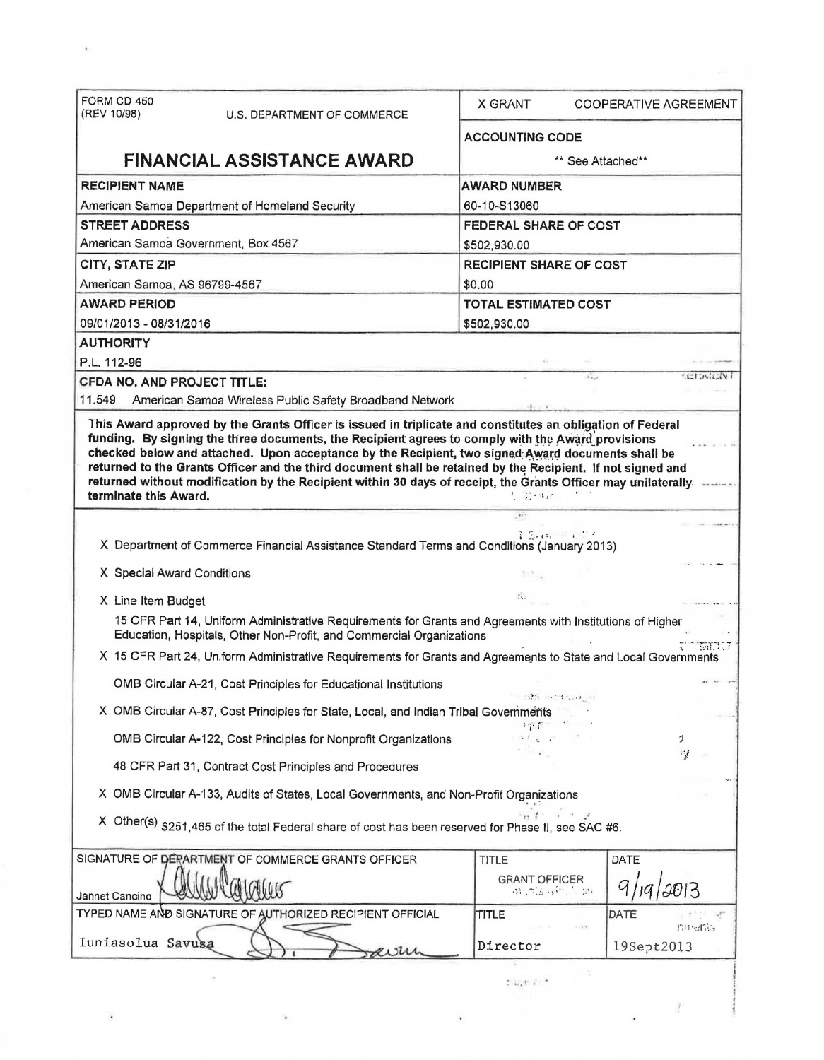| FORM CD-450<br>(REV 10/98)          |                                                                                                                                                                                   | <b>X GRANT</b>               |                                | COOPERATIVE AGREEMENT |  |  |
|-------------------------------------|-----------------------------------------------------------------------------------------------------------------------------------------------------------------------------------|------------------------------|--------------------------------|-----------------------|--|--|
|                                     | U.S. DEPARTMENT OF COMMERCE                                                                                                                                                       | <b>ACCOUNTING CODE</b>       |                                |                       |  |  |
|                                     | <b>FINANCIAL ASSISTANCE AWARD</b>                                                                                                                                                 | ** See Attached**            |                                |                       |  |  |
| <b>RECIPIENT NAME</b>               |                                                                                                                                                                                   | <b>AWARD NUMBER</b>          |                                |                       |  |  |
|                                     | American Samoa Department of Homeland Security                                                                                                                                    | 60-10-S13060                 |                                |                       |  |  |
| <b>STREET ADDRESS</b>               |                                                                                                                                                                                   | <b>FEDERAL SHARE OF COST</b> |                                |                       |  |  |
| American Samoa Government, Box 4567 |                                                                                                                                                                                   | \$502,930.00                 |                                |                       |  |  |
| CITY, STATE ZIP                     |                                                                                                                                                                                   |                              | <b>RECIPIENT SHARE OF COST</b> |                       |  |  |
| American Samoa, AS 96799-4567       |                                                                                                                                                                                   | \$0.00                       |                                |                       |  |  |
| <b>AWARD PERIOD</b>                 |                                                                                                                                                                                   | <b>TOTAL ESTIMATED COST</b>  |                                |                       |  |  |
| 09/01/2013 - 08/31/2016             |                                                                                                                                                                                   | \$502,930.00                 |                                |                       |  |  |
| <b>AUTHORITY</b>                    |                                                                                                                                                                                   |                              |                                |                       |  |  |
| P.L. 112-96                         |                                                                                                                                                                                   |                              |                                |                       |  |  |
| <b>CFDA NO. AND PROJECT TITLE:</b>  |                                                                                                                                                                                   |                              |                                | VERWELY!              |  |  |
| 11,549                              | American Samoa Wireless Public Safety Broadband Network                                                                                                                           |                              |                                |                       |  |  |
|                                     |                                                                                                                                                                                   | 机 功平切术                       |                                |                       |  |  |
| terminate this Award.               |                                                                                                                                                                                   | $107$                        | 计多路 医足骨石                       |                       |  |  |
|                                     | X Department of Commerce Financial Assistance Standard Terms and Conditions (January 2013)                                                                                        |                              |                                |                       |  |  |
| X Special Award Conditions          |                                                                                                                                                                                   |                              |                                |                       |  |  |
| X Line Item Budget                  |                                                                                                                                                                                   | 25.2                         |                                |                       |  |  |
|                                     | 15 CFR Part 14, Uniform Administrative Requirements for Grants and Agreements with Institutions of Higher<br>Education, Hospitals, Other Non-Profit, and Commercial Organizations |                              |                                |                       |  |  |
|                                     | X 15 CFR Part 24, Uniform Administrative Requirements for Grants and Agreements to State and Local Governments                                                                    |                              |                                | <b>MENT</b>           |  |  |
|                                     | OMB Circular A-21, Cost Principles for Educational Institutions                                                                                                                   |                              |                                |                       |  |  |
|                                     |                                                                                                                                                                                   |                              |                                |                       |  |  |
|                                     | X OMB Circular A-87, Cost Principles for State, Local, and Indian Tribal Governments                                                                                              |                              |                                |                       |  |  |
|                                     | OMB Circular A-122, Cost Principles for Nonprofit Organizations                                                                                                                   |                              |                                | 3                     |  |  |
|                                     | 48 CFR Part 31, Contract Cost Principles and Procedures                                                                                                                           |                              |                                | ٠V                    |  |  |
|                                     | X OMB Circular A-133, Audits of States, Local Governments, and Non-Profit Organizations                                                                                           |                              |                                |                       |  |  |
|                                     | X Other(s) \$251,465 of the total Federal share of cost has been reserved for Phase II, see SAC #6.                                                                               |                              |                                |                       |  |  |
|                                     |                                                                                                                                                                                   |                              |                                |                       |  |  |
|                                     | SIGNATURE OF DERARTMENT OF COMMERCE GRANTS OFFICER                                                                                                                                | TITLE                        | DATE                           |                       |  |  |
| Jannet Cancino                      |                                                                                                                                                                                   | <b>GRANT OFFICER</b>         | an interview and               |                       |  |  |
|                                     | TYPED NAME AND SIGNATURE OF AUTHORIZED RECIPIENT OFFICIAL                                                                                                                         | TITLE                        | DATE                           |                       |  |  |
| Iuniasolua Savusa                   |                                                                                                                                                                                   | Director                     |                                | 血细管<br>19Sept2013     |  |  |
|                                     |                                                                                                                                                                                   | $1.475 + 1.7$                |                                |                       |  |  |

 $\mathbf{e}_{\mathrm{J}}$  , and  $\mathbf{e}_{\mathrm{J}}$